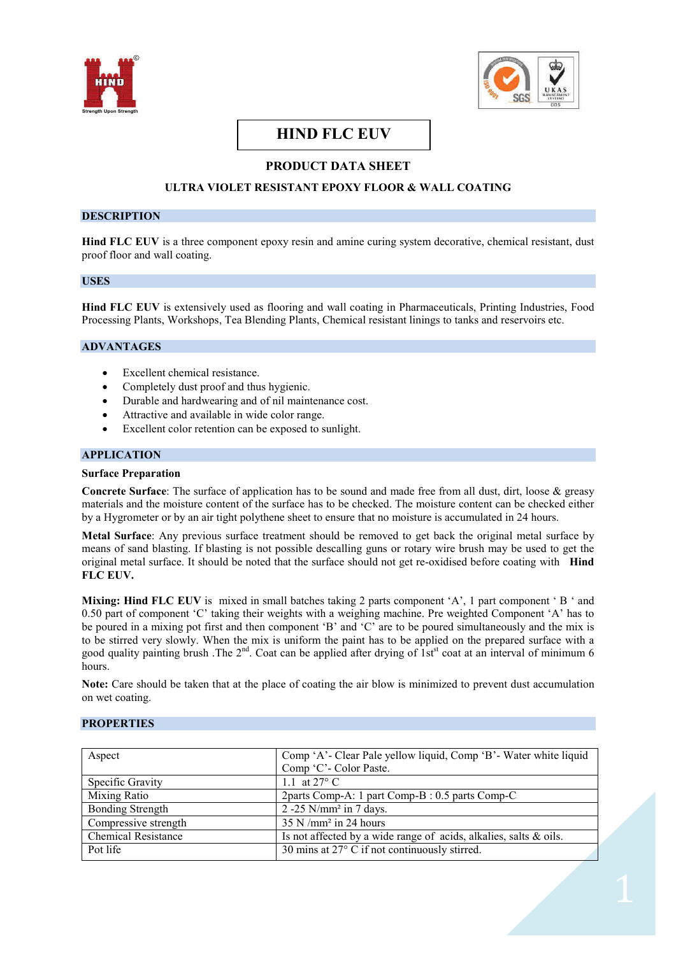



# **HIND FLC EUV**

## **PRODUCT DATA SHEET**

## **ULTRA VIOLET RESISTANT EPOXY FLOOR & WALL COATING**

#### **DESCRIPTION**

**Hind FLC EUV** is a three component epoxy resin and amine curing system decorative, chemical resistant, dust proof floor and wall coating.

## **USES**

**Hind FLC EUV** is extensively used as flooring and wall coating in Pharmaceuticals, Printing Industries, Food Processing Plants, Workshops, Tea Blending Plants, Chemical resistant linings to tanks and reservoirs etc.

## **ADVANTAGES**

- Excellent chemical resistance.
- · Completely dust proof and thus hygienic.
- Durable and hardwearing and of nil maintenance cost.
- Attractive and available in wide color range.
- Excellent color retention can be exposed to sunlight.

## **APPLICATION**

#### **Surface Preparation**

**Concrete Surface**: The surface of application has to be sound and made free from all dust, dirt, loose & greasy materials and the moisture content of the surface has to be checked. The moisture content can be checked either by a Hygrometer or by an air tight polythene sheet to ensure that no moisture is accumulated in 24 hours.

**Metal Surface**: Any previous surface treatment should be removed to get back the original metal surface by means of sand blasting. If blasting is not possible descalling guns or rotary wire brush may be used to get the original metal surface. It should be noted that the surface should not get re-oxidised before coating with **Hind FLC EUV.**

**Mixing: Hind FLC EUV** is mixed in small batches taking 2 parts component 'A', 1 part component ' B ' and 0.50 part of component 'C' taking their weights with a weighing machine. Pre weighted Component 'A' has to be poured in a mixing pot first and then component 'B' and 'C' are to be poured simultaneously and the mix is to be stirred very slowly. When the mix is uniform the paint has to be applied on the prepared surface with a good quality painting brush .The  $2^{nd}$ . Coat can be applied after drying of 1st<sup>st</sup> coat at an interval of minimum 6 hours.

**Note:** Care should be taken that at the place of coating the air blow is minimized to prevent dust accumulation on wet coating.

## **PROPERTIES**

| Aspect                     | Comp 'A'- Clear Pale yellow liquid, Comp 'B'- Water white liquid  |
|----------------------------|-------------------------------------------------------------------|
|                            | Comp 'C'- Color Paste.                                            |
| Specific Gravity           | 1.1 at $27^{\circ}$ C                                             |
| Mixing Ratio               | 2parts Comp-A: 1 part Comp-B : 0.5 parts Comp-C                   |
| <b>Bonding Strength</b>    | $2 - 25$ N/mm <sup>2</sup> in 7 days.                             |
| Compressive strength       | $35$ N /mm <sup>2</sup> in 24 hours                               |
| <b>Chemical Resistance</b> | Is not affected by a wide range of acids, alkalies, salts & oils. |
| Pot life                   | 30 mins at 27° C if not continuously stirred.                     |